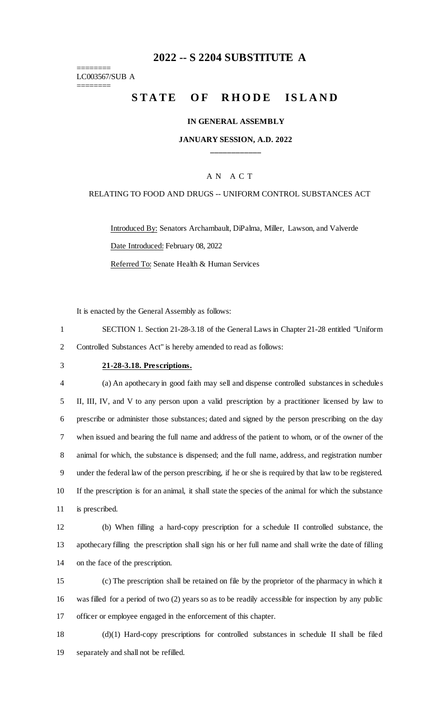### **-- S 2204 SUBSTITUTE A**

======== LC003567/SUB A ========

# **STATE OF RHODE ISLAND**

#### **IN GENERAL ASSEMBLY**

### **JANUARY SESSION, A.D. 2022 \_\_\_\_\_\_\_\_\_\_\_\_**

### A N A C T

#### RELATING TO FOOD AND DRUGS -- UNIFORM CONTROL SUBSTANCES ACT

Introduced By: Senators Archambault, DiPalma, Miller, Lawson, and Valverde Date Introduced: February 08, 2022 Referred To: Senate Health & Human Services

It is enacted by the General Assembly as follows:

 SECTION 1. Section 21-28-3.18 of the General Laws in Chapter 21-28 entitled "Uniform Controlled Substances Act" is hereby amended to read as follows:

### **21-28-3.18. Prescriptions.**

 (a) An apothecary in good faith may sell and dispense controlled substances in schedules II, III, IV, and V to any person upon a valid prescription by a practitioner licensed by law to prescribe or administer those substances; dated and signed by the person prescribing on the day when issued and bearing the full name and address of the patient to whom, or of the owner of the animal for which, the substance is dispensed; and the full name, address, and registration number under the federal law of the person prescribing, if he or she is required by that law to be registered. If the prescription is for an animal, it shall state the species of the animal for which the substance is prescribed.

 (b) When filling a hard-copy prescription for a schedule II controlled substance, the apothecary filling the prescription shall sign his or her full name and shall write the date of filling on the face of the prescription.

 (c) The prescription shall be retained on file by the proprietor of the pharmacy in which it was filled for a period of two (2) years so as to be readily accessible for inspection by any public officer or employee engaged in the enforcement of this chapter.

 (d)(1) Hard-copy prescriptions for controlled substances in schedule II shall be filed separately and shall not be refilled.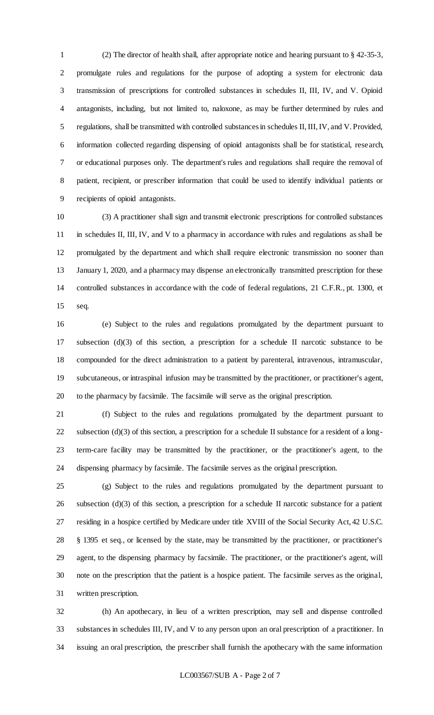(2) The director of health shall, after appropriate notice and hearing pursuant to § 42-35-3, promulgate rules and regulations for the purpose of adopting a system for electronic data transmission of prescriptions for controlled substances in schedules II, III, IV, and V. Opioid antagonists, including, but not limited to, naloxone, as may be further determined by rules and regulations, shall be transmitted with controlled substances in schedules II, III, IV, and V. Provided, information collected regarding dispensing of opioid antagonists shall be for statistical, research, or educational purposes only. The department's rules and regulations shall require the removal of patient, recipient, or prescriber information that could be used to identify individual patients or recipients of opioid antagonists.

 (3) A practitioner shall sign and transmit electronic prescriptions for controlled substances in schedules II, III, IV, and V to a pharmacy in accordance with rules and regulations as shall be promulgated by the department and which shall require electronic transmission no sooner than 13 January 1, 2020, and a pharmacy may dispense an electronically transmitted prescription for these controlled substances in accordance with the code of federal regulations, 21 C.F.R., pt. 1300, et seq.

 (e) Subject to the rules and regulations promulgated by the department pursuant to subsection (d)(3) of this section, a prescription for a schedule II narcotic substance to be compounded for the direct administration to a patient by parenteral, intravenous, intramuscular, subcutaneous, or intraspinal infusion may be transmitted by the practitioner, or practitioner's agent, to the pharmacy by facsimile. The facsimile will serve as the original prescription.

 (f) Subject to the rules and regulations promulgated by the department pursuant to 22 subsection  $(d)(3)$  of this section, a prescription for a schedule II substance for a resident of a long- term-care facility may be transmitted by the practitioner, or the practitioner's agent, to the dispensing pharmacy by facsimile. The facsimile serves as the original prescription.

 (g) Subject to the rules and regulations promulgated by the department pursuant to subsection (d)(3) of this section, a prescription for a schedule II narcotic substance for a patient residing in a hospice certified by Medicare under title XVIII of the Social Security Act, 42 U.S.C. § 1395 et seq., or licensed by the state, may be transmitted by the practitioner, or practitioner's agent, to the dispensing pharmacy by facsimile. The practitioner, or the practitioner's agent, will note on the prescription that the patient is a hospice patient. The facsimile serves as the original, written prescription.

 (h) An apothecary, in lieu of a written prescription, may sell and dispense controlled substances in schedules III, IV, and V to any person upon an oral prescription of a practitioner. In issuing an oral prescription, the prescriber shall furnish the apothecary with the same information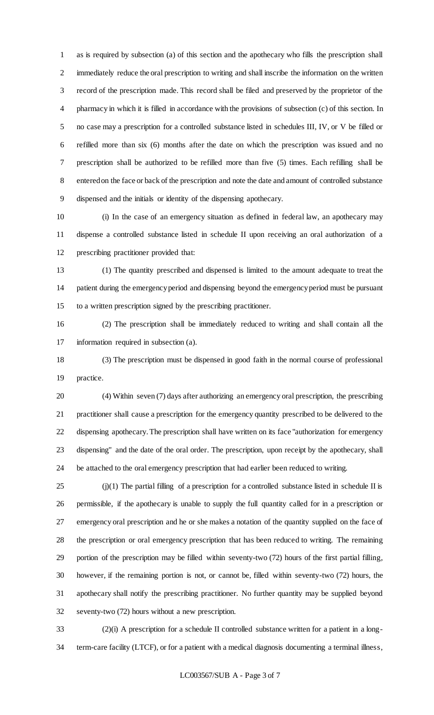as is required by subsection (a) of this section and the apothecary who fills the prescription shall immediately reduce the oral prescription to writing and shall inscribe the information on the written record of the prescription made. This record shall be filed and preserved by the proprietor of the pharmacy in which it is filled in accordance with the provisions of subsection (c) of this section. In no case may a prescription for a controlled substance listed in schedules III, IV, or V be filled or refilled more than six (6) months after the date on which the prescription was issued and no prescription shall be authorized to be refilled more than five (5) times. Each refilling shall be entered on the face or back of the prescription and note the date and amount of controlled substance dispensed and the initials or identity of the dispensing apothecary.

 (i) In the case of an emergency situation as defined in federal law, an apothecary may dispense a controlled substance listed in schedule II upon receiving an oral authorization of a prescribing practitioner provided that:

 (1) The quantity prescribed and dispensed is limited to the amount adequate to treat the patient during the emergency period and dispensing beyond the emergency period must be pursuant to a written prescription signed by the prescribing practitioner.

 (2) The prescription shall be immediately reduced to writing and shall contain all the information required in subsection (a).

 (3) The prescription must be dispensed in good faith in the normal course of professional practice.

 (4) Within seven (7) days after authorizing an emergency oral prescription, the prescribing practitioner shall cause a prescription for the emergency quantity prescribed to be delivered to the dispensing apothecary. The prescription shall have written on its face "authorization for emergency dispensing" and the date of the oral order. The prescription, upon receipt by the apothecary, shall be attached to the oral emergency prescription that had earlier been reduced to writing.

 (i)(1) The partial filling of a prescription for a controlled substance listed in schedule II is permissible, if the apothecary is unable to supply the full quantity called for in a prescription or emergency oral prescription and he or she makes a notation of the quantity supplied on the face of the prescription or oral emergency prescription that has been reduced to writing. The remaining portion of the prescription may be filled within seventy-two (72) hours of the first partial filling, however, if the remaining portion is not, or cannot be, filled within seventy-two (72) hours, the apothecary shall notify the prescribing practitioner. No further quantity may be supplied beyond seventy-two (72) hours without a new prescription.

 (2)(i) A prescription for a schedule II controlled substance written for a patient in a long-term-care facility (LTCF), or for a patient with a medical diagnosis documenting a terminal illness,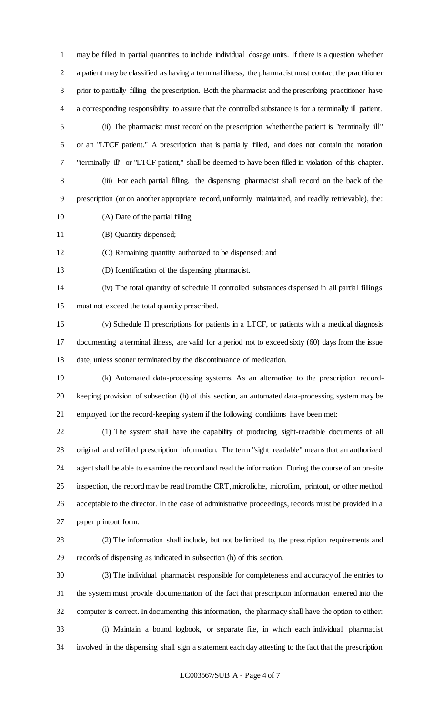may be filled in partial quantities to include individual dosage units. If there is a question whether a patient may be classified as having a terminal illness, the pharmacist must contact the practitioner prior to partially filling the prescription. Both the pharmacist and the prescribing practitioner have a corresponding responsibility to assure that the controlled substance is for a terminally ill patient. (ii) The pharmacist must record on the prescription whether the patient is "terminally ill"

 or an "LTCF patient." A prescription that is partially filled, and does not contain the notation "terminally ill" or "LTCF patient," shall be deemed to have been filled in violation of this chapter. (iii) For each partial filling, the dispensing pharmacist shall record on the back of the prescription (or on another appropriate record, uniformly maintained, and readily retrievable), the:

10 (A) Date of the partial filling;

(B) Quantity dispensed;

(C) Remaining quantity authorized to be dispensed; and

(D) Identification of the dispensing pharmacist.

 (iv) The total quantity of schedule II controlled substances dispensed in all partial fillings must not exceed the total quantity prescribed.

 (v) Schedule II prescriptions for patients in a LTCF, or patients with a medical diagnosis documenting a terminal illness, are valid for a period not to exceed sixty (60) days from the issue date, unless sooner terminated by the discontinuance of medication.

 (k) Automated data-processing systems. As an alternative to the prescription record- keeping provision of subsection (h) of this section, an automated data-processing system may be employed for the record-keeping system if the following conditions have been met:

 (1) The system shall have the capability of producing sight-readable documents of all original and refilled prescription information. The term "sight readable" means that an authorized agent shall be able to examine the record and read the information. During the course of an on-site inspection, the record may be read from the CRT, microfiche, microfilm, printout, or other method acceptable to the director. In the case of administrative proceedings, records must be provided in a paper printout form.

 (2) The information shall include, but not be limited to, the prescription requirements and records of dispensing as indicated in subsection (h) of this section.

 (3) The individual pharmacist responsible for completeness and accuracy of the entries to the system must provide documentation of the fact that prescription information entered into the computer is correct. In documenting this information, the pharmacy shall have the option to either: (i) Maintain a bound logbook, or separate file, in which each individual pharmacist involved in the dispensing shall sign a statement each day attesting to the fact that the prescription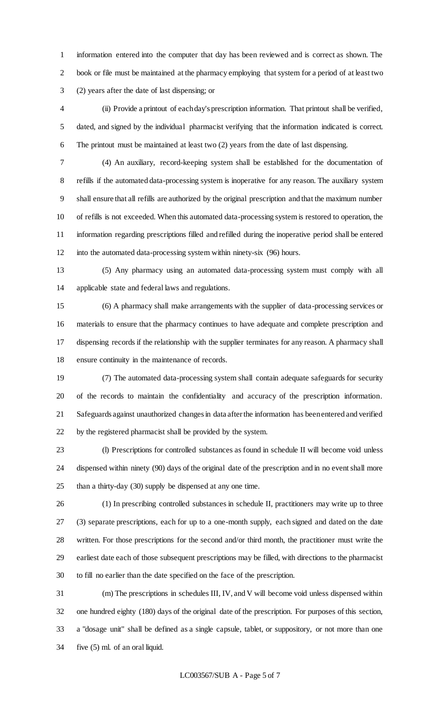information entered into the computer that day has been reviewed and is correct as shown. The book or file must be maintained at the pharmacy employing that system for a period of at least two (2) years after the date of last dispensing; or

 (ii) Provide a printout of each day's prescription information. That printout shall be verified, dated, and signed by the individual pharmacist verifying that the information indicated is correct. The printout must be maintained at least two (2) years from the date of last dispensing.

 (4) An auxiliary, record-keeping system shall be established for the documentation of refills if the automated data-processing system is inoperative for any reason. The auxiliary system shall ensure that all refills are authorized by the original prescription and that the maximum number of refills is not exceeded. When this automated data-processing system is restored to operation, the information regarding prescriptions filled and refilled during the inoperative period shall be entered into the automated data-processing system within ninety-six (96) hours.

 (5) Any pharmacy using an automated data-processing system must comply with all applicable state and federal laws and regulations.

 (6) A pharmacy shall make arrangements with the supplier of data-processing services or materials to ensure that the pharmacy continues to have adequate and complete prescription and dispensing records if the relationship with the supplier terminates for any reason. A pharmacy shall ensure continuity in the maintenance of records.

 (7) The automated data-processing system shall contain adequate safeguards for security of the records to maintain the confidentiality and accuracy of the prescription information. Safeguards against unauthorized changes in data after the information has been entered and verified by the registered pharmacist shall be provided by the system.

 (l) Prescriptions for controlled substances as found in schedule II will become void unless dispensed within ninety (90) days of the original date of the prescription and in no event shall more than a thirty-day (30) supply be dispensed at any one time.

 (1) In prescribing controlled substances in schedule II, practitioners may write up to three (3) separate prescriptions, each for up to a one-month supply, each signed and dated on the date written. For those prescriptions for the second and/or third month, the practitioner must write the earliest date each of those subsequent prescriptions may be filled, with directions to the pharmacist to fill no earlier than the date specified on the face of the prescription.

 (m) The prescriptions in schedules III, IV, and V will become void unless dispensed within one hundred eighty (180) days of the original date of the prescription. For purposes of this section, a "dosage unit" shall be defined as a single capsule, tablet, or suppository, or not more than one five (5) ml. of an oral liquid.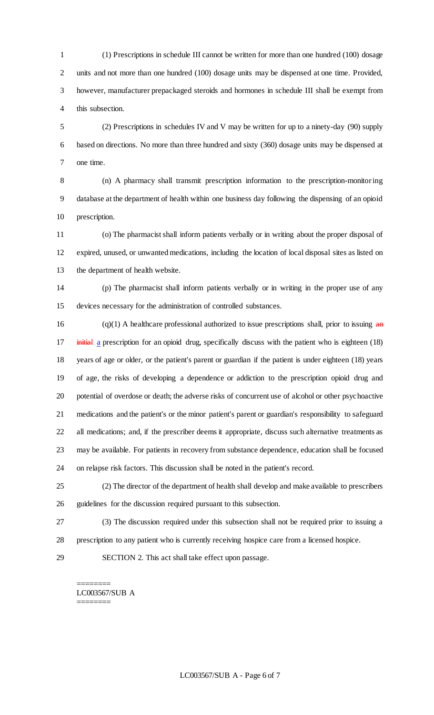(1) Prescriptions in schedule III cannot be written for more than one hundred (100) dosage units and not more than one hundred (100) dosage units may be dispensed at one time. Provided, however, manufacturer prepackaged steroids and hormones in schedule III shall be exempt from this subsection.

 (2) Prescriptions in schedules IV and V may be written for up to a ninety-day (90) supply based on directions. No more than three hundred and sixty (360) dosage units may be dispensed at one time.

 (n) A pharmacy shall transmit prescription information to the prescription-monitor ing database at the department of health within one business day following the dispensing of an opioid prescription.

 (o) The pharmacist shall inform patients verbally or in writing about the proper disposal of expired, unused, or unwanted medications, including the location of local disposal sites as listed on the department of health website.

 (p) The pharmacist shall inform patients verbally or in writing in the proper use of any devices necessary for the administration of controlled substances.

 (q)(1) A healthcare professional authorized to issue prescriptions shall, prior to issuing  $\frac{d}{dt}$ 17 initial a prescription for an opioid drug, specifically discuss with the patient who is eighteen (18) years of age or older, or the patient's parent or guardian if the patient is under eighteen (18) years of age, the risks of developing a dependence or addiction to the prescription opioid drug and potential of overdose or death; the adverse risks of concurrent use of alcohol or other psychoactive medications and the patient's or the minor patient's parent or guardian's responsibility to safeguard all medications; and, if the prescriber deems it appropriate, discuss such alternative treatments as may be available. For patients in recovery from substance dependence, education shall be focused on relapse risk factors. This discussion shall be noted in the patient's record.

 (2) The director of the department of health shall develop and make available to prescribers guidelines for the discussion required pursuant to this subsection.

 (3) The discussion required under this subsection shall not be required prior to issuing a prescription to any patient who is currently receiving hospice care from a licensed hospice.

SECTION 2. This act shall take effect upon passage.

======== LC003567/SUB A ========